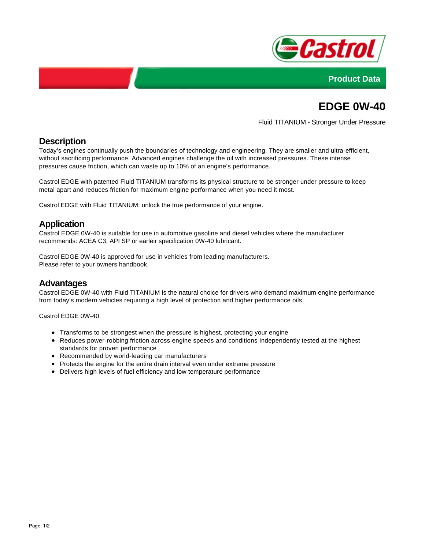



# **EDGE 0W-40**

Fluid TITANIUM - Stronger Under Pressure

## **Description**

Today's engines continually push the boundaries of technology and engineering. They are smaller and ultra-efficient, without sacrificing performance. Advanced engines challenge the oil with increased pressures. These intense pressures cause friction, which can waste up to 10% of an engine's performance.

Castrol EDGE with patented Fluid TITANIUM transforms its physical structure to be stronger under pressure to keep metal apart and reduces friction for maximum engine performance when you need it most.

Castrol EDGE with Fluid TITANIUM: unlock the true performance of your engine.

#### **Application**

Castrol EDGE 0W-40 is suitable for use in automotive gasoline and diesel vehicles where the manufacturer recommends: ACEA C3, API SP or earleir specification 0W-40 lubricant.

Castrol EDGE 0W-40 is approved for use in vehicles from leading manufacturers. Please refer to your owners handbook.

#### **Advantages**

Castrol EDGE 0W-40 with Fluid TITANIUM is the natural choice for drivers who demand maximum engine performance from today's modern vehicles requiring a high level of protection and higher performance oils.

Castrol EDGE 0W-40:

- Transforms to be strongest when the pressure is highest, protecting your engine
- Reduces power-robbing friction across engine speeds and conditions Independently tested at the highest standards for proven performance
- Recommended by world-leading car manufacturers
- Protects the engine for the entire drain interval even under extreme pressure
- Delivers high levels of fuel efficiency and low temperature performance